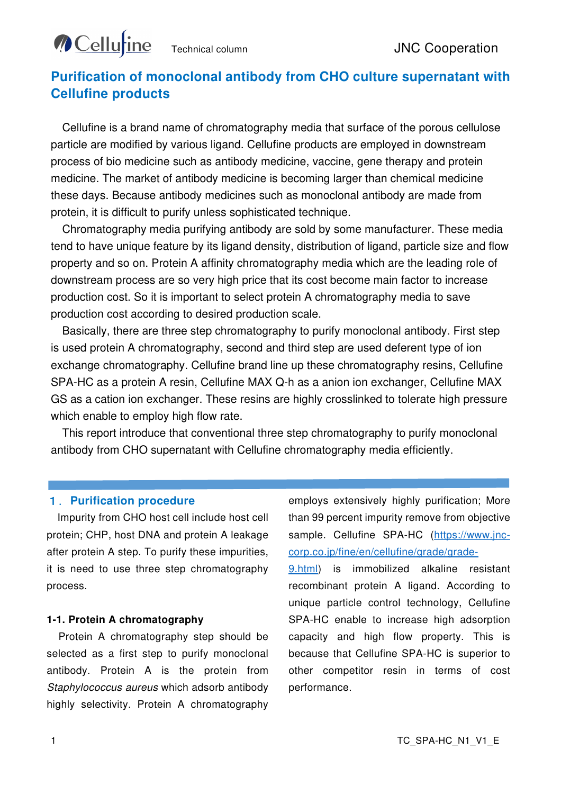# **Cellu**tine

# **Purification of monoclonal antibody from CHO culture supernatant with Cellufine products**

Cellufine is a brand name of chromatography media that surface of the porous cellulose particle are modified by various ligand. Cellufine products are employed in downstream process of bio medicine such as antibody medicine, vaccine, gene therapy and protein medicine. The market of antibody medicine is becoming larger than chemical medicine these days. Because antibody medicines such as monoclonal antibody are made from protein, it is difficult to purify unless sophisticated technique.

Chromatography media purifying antibody are sold by some manufacturer. These media tend to have unique feature by its ligand density, distribution of ligand, particle size and flow property and so on. Protein A affinity chromatography media which are the leading role of downstream process are so very high price that its cost become main factor to increase production cost. So it is important to select protein A chromatography media to save production cost according to desired production scale.

Basically, there are three step chromatography to purify monoclonal antibody. First step is used protein A chromatography, second and third step are used deferent type of ion exchange chromatography. Cellufine brand line up these chromatography resins, Cellufine SPA-HC as a protein A resin, Cellufine MAX Q-h as a anion ion exchanger, Cellufine MAX GS as a cation ion exchanger. These resins are highly crosslinked to tolerate high pressure which enable to employ high flow rate.

This report introduce that conventional three step chromatography to purify monoclonal antibody from CHO supernatant with Cellufine chromatography media efficiently.

### 1.**Purification procedure**

Impurity from CHO host cell include host cell protein; CHP, host DNA and protein A leakage after protein A step. To purify these impurities, it is need to use three step chromatography process.

#### **1-1. Protein A chromatography**

Protein A chromatography step should be selected as a first step to purify monoclonal antibody. Protein A is the protein from Staphylococcus aureus which adsorb antibody highly selectivity. Protein A chromatography

employs extensively highly purification; More than 99 percent impurity remove from objective sample. Cellufine SPA-HC (https://www.inccorp.co.jp/fine/en/cellufine/grade/grade-

9.html) is immobilized alkaline resistant recombinant protein A ligand. According to unique particle control technology, Cellufine SPA-HC enable to increase high adsorption capacity and high flow property. This is because that Cellufine SPA-HC is superior to other competitor resin in terms of cost performance.

Ī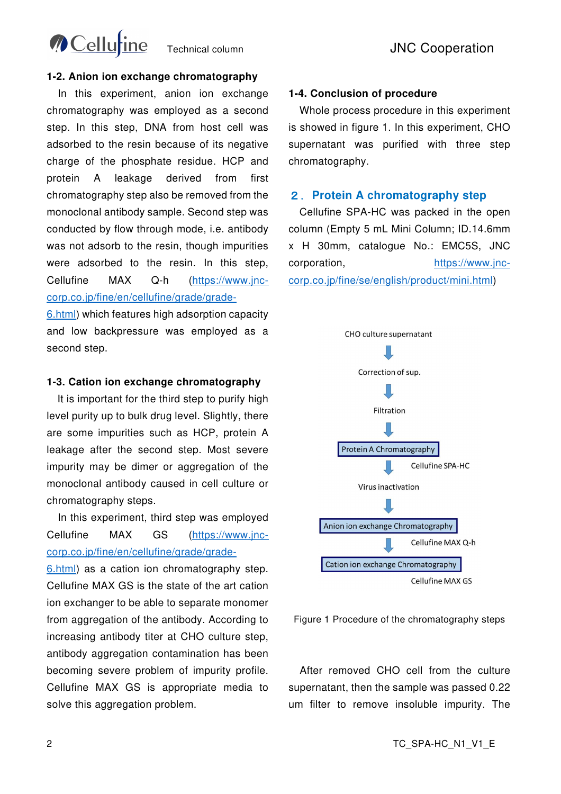

#### **1-2. Anion ion exchange chromatography**

 In this experiment, anion ion exchange chromatography was employed as a second step. In this step, DNA from host cell was adsorbed to the resin because of its negative charge of the phosphate residue. HCP and protein A leakage derived from first chromatography step also be removed from the monoclonal antibody sample. Second step was conducted by flow through mode, i.e. antibody was not adsorb to the resin, though impurities were adsorbed to the resin. In this step, Cellufine MAX Q-h (https://www.jnccorp.co.jp/fine/en/cellufine/grade/grade-

6.html) which features high adsorption capacity and low backpressure was employed as a second step.

#### **1-3. Cation ion exchange chromatography**

It is important for the third step to purify high level purity up to bulk drug level. Slightly, there are some impurities such as HCP, protein A leakage after the second step. Most severe impurity may be dimer or aggregation of the monoclonal antibody caused in cell culture or chromatography steps.

 In this experiment, third step was employed Cellufine MAX GS (https://www.jnccorp.co.jp/fine/en/cellufine/grade/grade-

6.html) as a cation ion chromatography step. Cellufine MAX GS is the state of the art cation ion exchanger to be able to separate monomer from aggregation of the antibody. According to increasing antibody titer at CHO culture step, antibody aggregation contamination has been becoming severe problem of impurity profile. Cellufine MAX GS is appropriate media to solve this aggregation problem.

#### **1-4. Conclusion of procedure**

 Whole process procedure in this experiment is showed in figure 1. In this experiment, CHO supernatant was purified with three step chromatography.

#### 2.**Protein A chromatography step**

 Cellufine SPA-HC was packed in the open column (Empty 5 mL Mini Column; ID.14.6mm x H 30mm, catalogue No.: EMC5S, JNC corporation, https://www.jnccorp.co.jp/fine/se/english/product/mini.html)





 After removed CHO cell from the culture supernatant, then the sample was passed 0.22 um filter to remove insoluble impurity. The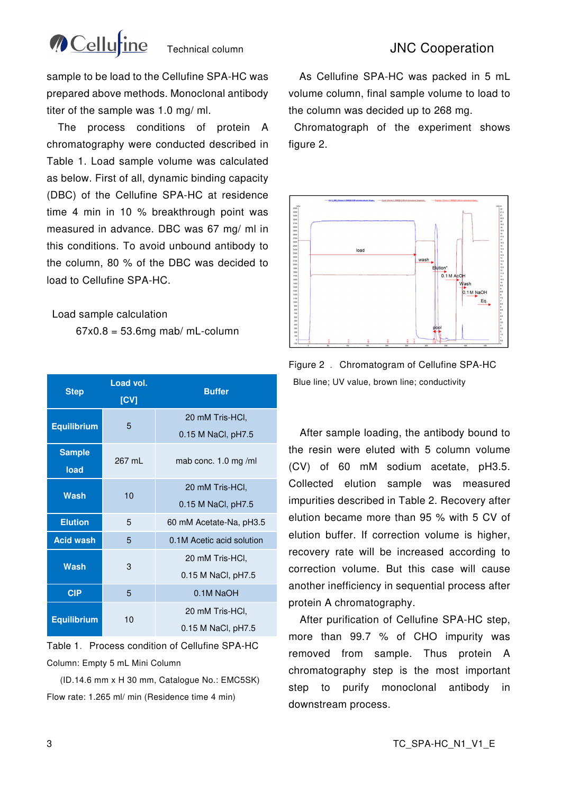

## Technical column Technical column JNC Cooperation

sample to be load to the Cellufine SPA-HC was prepared above methods. Monoclonal antibody titer of the sample was 1.0 mg/ ml.

 The process conditions of protein A chromatography were conducted described in Table 1. Load sample volume was calculated as below. First of all, dynamic binding capacity (DBC) of the Cellufine SPA-HC at residence time 4 min in 10 % breakthrough point was measured in advance. DBC was 67 mg/ ml in this conditions. To avoid unbound antibody to the column, 80 % of the DBC was decided to load to Cellufine SPA-HC.

#### Load sample calculation

 $67x0.8 = 53.6$ mg mab/ mL-column

| <b>Step</b>           | Load vol.<br>[CV] | <b>Buffer</b>             |
|-----------------------|-------------------|---------------------------|
| <b>Equilibrium</b>    | 5                 | 20 mM Tris-HCl,           |
|                       |                   | 0.15 M NaCl, pH7.5        |
| <b>Sample</b><br>load | 267 ml            | mab conc. $1.0$ mg/ml     |
|                       | 10                | 20 mM Tris-HCI,           |
| Wash                  |                   | 0.15 M NaCl, pH7.5        |
| <b>Elution</b>        | 5                 | 60 mM Acetate-Na, pH3.5   |
| <b>Acid wash</b>      | 5                 | 0.1M Acetic acid solution |
| Wash                  | 3                 | 20 mM Tris-HCI,           |
|                       |                   | 0.15 M NaCl, pH7.5        |
| <b>CIP</b>            | 5                 | 0.1M NaOH                 |
| <b>Equilibrium</b>    | 10                | 20 mM Tris-HCl,           |
|                       |                   | 0.15 M NaCl, pH7.5        |

Table 1. Process condition of Cellufine SPA-HC Column: Empty 5 mL Mini Column

(ID.14.6 mm x H 30 mm, Catalogue No.: EMC5SK) Flow rate: 1.265 ml/ min (Residence time 4 min)

As Cellufine SPA-HC was packed in 5 mL volume column, final sample volume to load to the column was decided up to 268 mg.

 Chromatograph of the experiment shows figure 2.



Figure 2 . Chromatogram of Cellufine SPA-HC Blue line; UV value, brown line; conductivity

 After sample loading, the antibody bound to the resin were eluted with 5 column volume (CV) of 60 mM sodium acetate, pH3.5. Collected elution sample was measured impurities described in Table 2. Recovery after elution became more than 95 % with 5 CV of elution buffer. If correction volume is higher, recovery rate will be increased according to correction volume. But this case will cause another inefficiency in sequential process after protein A chromatography.

 After purification of Cellufine SPA-HC step, more than 99.7 % of CHO impurity was removed from sample. Thus protein A chromatography step is the most important step to purify monoclonal antibody in downstream process.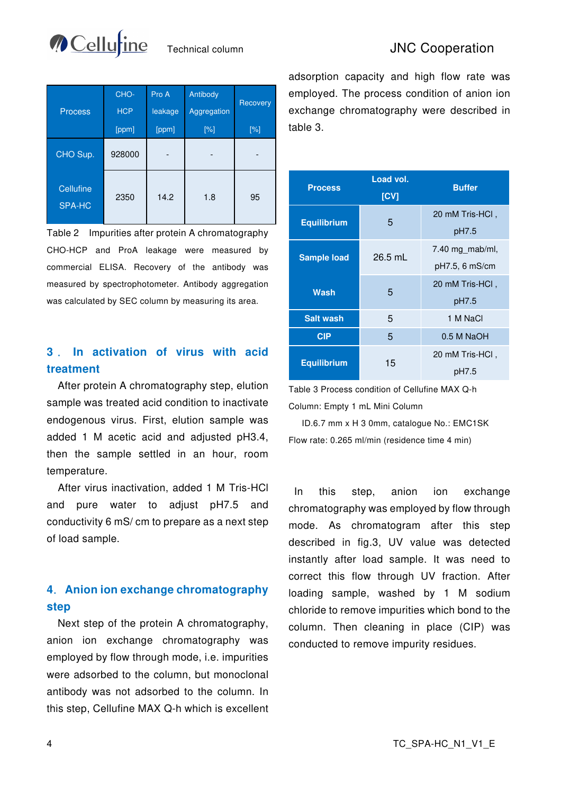

## Technical column **JNC Cooperation**

| <b>Process</b>             | CHO-<br><b>HCP</b><br>[ppm] | Pro A<br>leakage<br>[ppm] | Antibody<br>Aggregation<br>$[\%]$ | Recovery<br>$[\%]$ |
|----------------------------|-----------------------------|---------------------------|-----------------------------------|--------------------|
| CHO Sup.                   | 928000                      |                           |                                   |                    |
| <b>Cellufine</b><br>SPA-HC | 2350                        | 14.2                      | 1.8                               | 95                 |

Table 2 Impurities after protein A chromatography CHO-HCP and ProA leakage were measured by commercial ELISA. Recovery of the antibody was measured by spectrophotometer. Antibody aggregation was calculated by SEC column by measuring its area.

## **3** . **In activation of virus with acid treatment**

 After protein A chromatography step, elution sample was treated acid condition to inactivate endogenous virus. First, elution sample was added 1 M acetic acid and adjusted pH3.4, then the sample settled in an hour, room temperature.

 After virus inactivation, added 1 M Tris-HCl and pure water to adjust pH7.5 and conductivity 6 mS/ cm to prepare as a next step of load sample.

## **4**.**Anion ion exchange chromatography step**

 Next step of the protein A chromatography, anion ion exchange chromatography was employed by flow through mode, i.e. impurities were adsorbed to the column, but monoclonal antibody was not adsorbed to the column. In this step, Cellufine MAX Q-h which is excellent adsorption capacity and high flow rate was employed. The process condition of anion ion exchange chromatography were described in table 3.

| <b>Process</b>     | Load vol.<br>[CV] | <b>Buffer</b>                     |
|--------------------|-------------------|-----------------------------------|
| <b>Equilibrium</b> | 5                 | 20 mM Tris-HCl.<br>pH7.5          |
| <b>Sample load</b> | $26.5$ mL         | 7.40 mg mab/ml,<br>pH7.5, 6 mS/cm |
| Wash               | 5                 | 20 mM Tris-HCl.<br>pH7.5          |
| <b>Salt wash</b>   | 5                 | 1 M NaCl                          |
| <b>CIP</b>         | 5                 | $0.5$ M NaOH                      |
| <b>Equilibrium</b> | 15                | 20 mM Tris-HCl,<br>pH7.5          |

Table 3 Process condition of Cellufine MAX Q-h Column: Empty 1 mL Mini Column

ID.6.7 mm x H 3 0mm, catalogue No.: EMC1SK Flow rate: 0.265 ml/min (residence time 4 min)

 In this step, anion ion exchange chromatography was employed by flow through mode. As chromatogram after this step described in fig.3, UV value was detected instantly after load sample. It was need to correct this flow through UV fraction. After loading sample, washed by 1 M sodium chloride to remove impurities which bond to the column. Then cleaning in place (CIP) was conducted to remove impurity residues.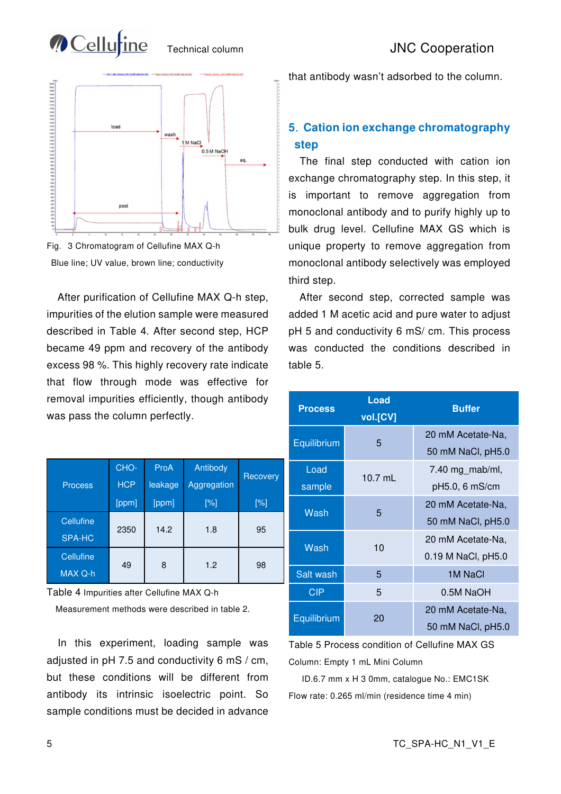



Fig.3 Chromatogram of Cellufine MAX Q-h Blue line; UV value, brown line; conductivity

After purification of Cellufine MAX Q-h step, impurities of the elution sample were measured described in Table 4. After second step, HCP became 49 ppm and recovery of the antibody excess 98 %. This highly recovery rate indicate that flow through mode was effective for removal impurities efficiently, though antibody was pass the column perfectly.

|                | CHO-       | ProA    | Antibody           |          |
|----------------|------------|---------|--------------------|----------|
| <b>Process</b> | <b>HCP</b> | leakage | Aggregation        | Recovery |
|                | [ppm]      | [ppm]   | $\lceil \% \rceil$ | $[\%]$   |
| Cellufine      |            |         |                    |          |
| <b>SPA-HC</b>  | 2350       | 14.2    | 1.8                | 95       |
| Cellufine      |            |         |                    |          |
| MAX Q-h        | 49         | 8       | 1.2                | 98       |

Table 4 Impurities after Cellufine MAX Q-h

Measurement methods were described in table 2.

 In this experiment, loading sample was adjusted in pH 7.5 and conductivity 6 mS / cm, but these conditions will be different from antibody its intrinsic isoelectric point. So sample conditions must be decided in advance

that antibody wasn't adsorbed to the column.

## **5**.**Cation ion exchange chromatography step**

 The final step conducted with cation ion exchange chromatography step. In this step, it is important to remove aggregation from monoclonal antibody and to purify highly up to bulk drug level. Cellufine MAX GS which is unique property to remove aggregation from monoclonal antibody selectively was employed third step.

 After second step, corrected sample was added 1 M acetic acid and pure water to adjust pH 5 and conductivity 6 mS/ cm. This process was conducted the conditions described in table 5.

| <b>Process</b> | Load<br>vol.[CV] | <b>Buffer</b>      |
|----------------|------------------|--------------------|
|                |                  | 20 mM Acetate-Na,  |
| Equilibrium    | 5                | 50 mM NaCl, pH5.0  |
| Load           | $10.7$ mL        | 7.40 mg_mab/ml,    |
| sample         |                  | pH5.0, 6 mS/cm     |
| Wash           | 5                | 20 mM Acetate-Na.  |
|                |                  | 50 mM NaCl, pH5.0  |
| Wash           | 10               | 20 mM Acetate-Na.  |
|                |                  | 0.19 M NaCl, pH5.0 |
| Salt wash      | 5                | 1M NaCl            |
| CIP            | 5                | 0.5M NaOH          |
|                |                  | 20 mM Acetate-Na,  |
| Equilibrium    | 20               | 50 mM NaCl, pH5.0  |

Table 5 Process condition of Cellufine MAX GS Column: Empty 1 mL Mini Column

ID.6.7 mm x H 3 0mm, catalogue No.: EMC1SK Flow rate: 0.265 ml/min (residence time 4 min)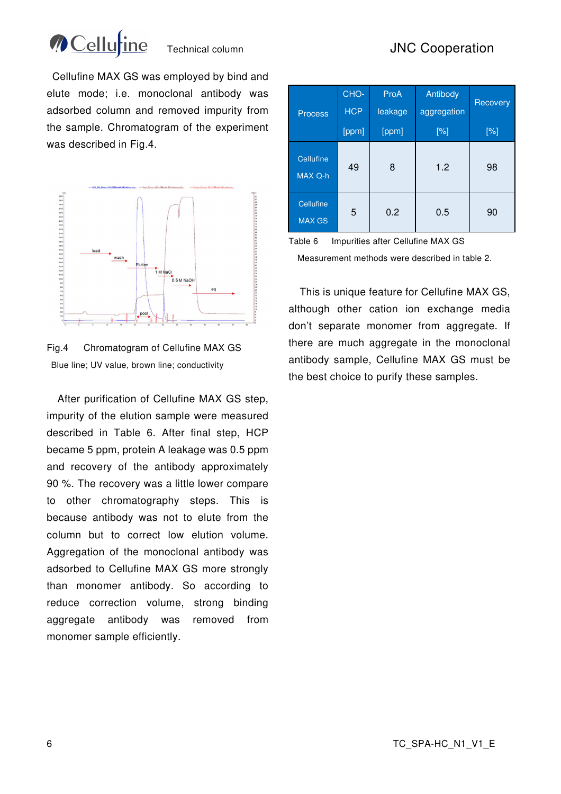

# Technical column **JNC Cooperation**

 Cellufine MAX GS was employed by bind and elute mode; i.e. monoclonal antibody was adsorbed column and removed impurity from the sample. Chromatogram of the experiment was described in Fig.4.





After purification of Cellufine MAX GS step, impurity of the elution sample were measured described in Table 6. After final step, HCP became 5 ppm, protein A leakage was 0.5 ppm and recovery of the antibody approximately 90 %. The recovery was a little lower compare to other chromatography steps. This is because antibody was not to elute from the column but to correct low elution volume. Aggregation of the monoclonal antibody was adsorbed to Cellufine MAX GS more strongly than monomer antibody. So according to reduce correction volume, strong binding aggregate antibody was removed from monomer sample efficiently.

| <b>Process</b>                    | CHO-<br><b>HCP</b> | ProA<br>leakage | Antibody<br>aggregation | Recovery |
|-----------------------------------|--------------------|-----------------|-------------------------|----------|
|                                   | [ppm]              | [ppm]           | $[\%]$                  | $[\%]$   |
| <b>Cellufine</b><br>MAX Q-h       | 49                 | 8               | 1.2                     | 98       |
| <b>Cellufine</b><br><b>MAX GS</b> | 5                  | 0.2             | 0.5                     | 90       |

Table 6 Impurities after Cellufine MAX GS

Measurement methods were described in table 2.

 This is unique feature for Cellufine MAX GS, although other cation ion exchange media don't separate monomer from aggregate. If there are much aggregate in the monoclonal antibody sample, Cellufine MAX GS must be the best choice to purify these samples.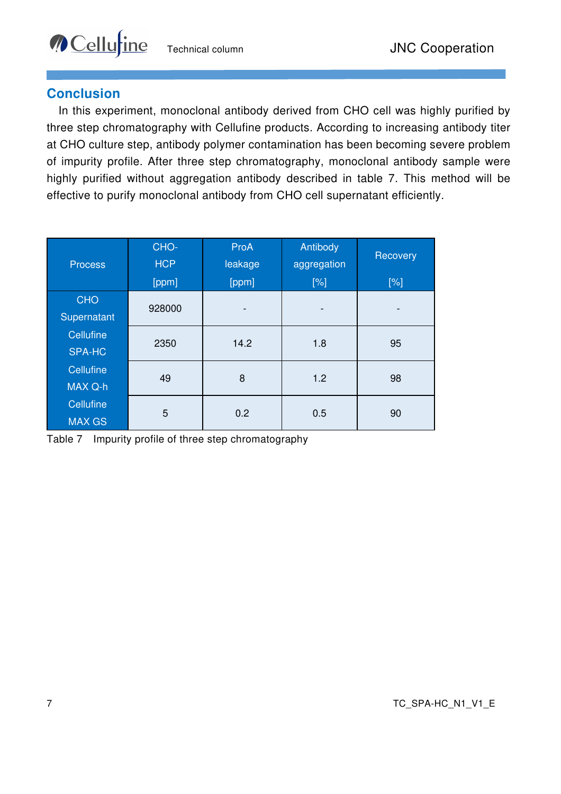## **Conclusion**

**Cellu**tine

In this experiment, monoclonal antibody derived from CHO cell was highly purified by three step chromatography with Cellufine products. According to increasing antibody titer at CHO culture step, antibody polymer contamination has been becoming severe problem of impurity profile. After three step chromatography, monoclonal antibody sample were highly purified without aggregation antibody described in table 7. This method will be effective to purify monoclonal antibody from CHO cell supernatant efficiently.

| <b>Process</b>                    | CHO-<br><b>HCP</b> | ProA<br>leakage | Antibody<br>aggregation | Recovery |
|-----------------------------------|--------------------|-----------------|-------------------------|----------|
|                                   | [ppm]              | [ppm]           | [%]                     | [%]      |
| <b>CHO</b><br>Supernatant         | 928000             |                 |                         |          |
| <b>Cellufine</b><br><b>SPA-HC</b> | 2350               | 14.2            | 1.8                     | 95       |
| Cellufine<br>MAX Q-h              | 49                 | 8               | 1.2                     | 98       |
| Cellufine<br><b>MAX GS</b>        | 5                  | 0.2             | 0.5                     | 90       |

Table 7 Impurity profile of three step chromatography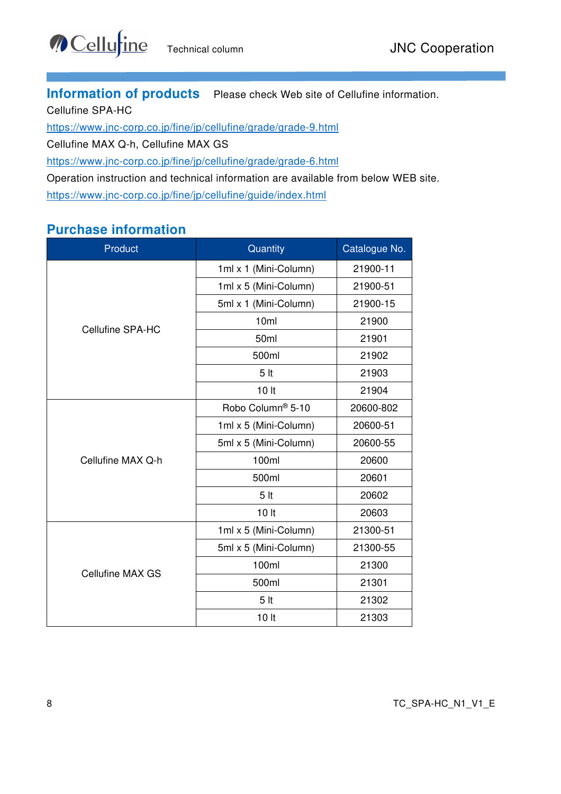**Information of products** Please check Web site of Cellufine information.

Cellufine SPA-HC

https://www.jnc-corp.co.jp/fine/jp/cellufine/grade/grade-9.html

Cellufine MAX Q-h, Cellufine MAX GS

https://www.jnc-corp.co.jp/fine/jp/cellufine/grade/grade-6.html

Operation instruction and technical information are available from below WEB site. https://www.jnc-corp.co.jp/fine/jp/cellufine/guide/index.html

# **Purchase information**

| Product                 | Quantity              | Catalogue No. |
|-------------------------|-----------------------|---------------|
|                         | 1ml x 1 (Mini-Column) | 21900-11      |
|                         | 1ml x 5 (Mini-Column) | 21900-51      |
|                         | 5ml x 1 (Mini-Column) | 21900-15      |
| <b>Cellufine SPA-HC</b> | 10ml                  | 21900         |
|                         | 50ml                  | 21901         |
|                         | 500ml                 | 21902         |
|                         | 5 <sub>it</sub>       | 21903         |
|                         | 10 <sub>h</sub>       | 21904         |
|                         | Robo Column® 5-10     | 20600-802     |
|                         | 1ml x 5 (Mini-Column) | 20600-51      |
|                         | 5ml x 5 (Mini-Column) | 20600-55      |
| Cellufine MAX Q-h       | 100ml                 | 20600         |
|                         | 500ml                 | 20601         |
|                         | 5 <sub>it</sub>       | 20602         |
|                         | 10 <sub>l</sub>       | 20603         |
|                         | 1ml x 5 (Mini-Column) | 21300-51      |
|                         | 5ml x 5 (Mini-Column) | 21300-55      |
| <b>Cellufine MAX GS</b> | 100ml                 | 21300         |
|                         | 500ml                 | 21301         |
|                         | 5 <sub>it</sub>       | 21302         |
|                         | 10 lt                 | 21303         |